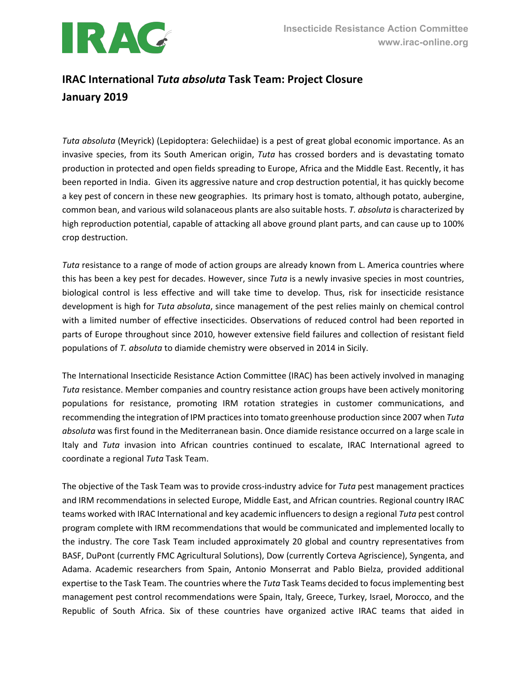

## **IRAC International** *Tuta absoluta* **Task Team: Project Closure January 2019**

*Tuta absoluta* (Meyrick) (Lepidoptera: Gelechiidae) is a pest of great global economic importance. As an invasive species, from its South American origin, *Tuta* has crossed borders and is devastating tomato production in protected and open fields spreading to Europe, Africa and the Middle East. Recently, it has been reported in India. Given its aggressive nature and crop destruction potential, it has quickly become a key pest of concern in these new geographies. Its primary host is tomato, although potato, aubergine, common bean, and various wild solanaceous plants are also suitable hosts. *T. absoluta* is characterized by high reproduction potential, capable of attacking all above ground plant parts, and can cause up to 100% crop destruction.

*Tuta* resistance to a range of mode of action groups are already known from L. America countries where this has been a key pest for decades. However, since *Tuta* is a newly invasive species in most countries, biological control is less effective and will take time to develop. Thus, risk for insecticide resistance development is high for *Tuta absoluta*, since management of the pest relies mainly on chemical control with a limited number of effective insecticides. Observations of reduced control had been reported in parts of Europe throughout since 2010, however extensive field failures and collection of resistant field populations of *T. absoluta* to diamide chemistry were observed in 2014 in Sicily.

The International Insecticide Resistance Action Committee (IRAC) has been actively involved in managing *Tuta* resistance. Member companies and country resistance action groups have been actively monitoring populations for resistance, promoting IRM rotation strategies in customer communications, and recommending the integration of IPM practices into tomato greenhouse production since 2007 when *Tuta absoluta* was first found in the Mediterranean basin. Once diamide resistance occurred on a large scale in Italy and *Tuta* invasion into African countries continued to escalate, IRAC International agreed to coordinate a regional *Tuta* Task Team.

The objective of the Task Team was to provide cross-industry advice for *Tuta* pest management practices and IRM recommendations in selected Europe, Middle East, and African countries. Regional country IRAC teams worked with IRAC International and key academic influencers to design a regional *Tuta* pest control program complete with IRM recommendations that would be communicated and implemented locally to the industry. The core Task Team included approximately 20 global and country representatives from BASF, DuPont (currently FMC Agricultural Solutions), Dow (currently Corteva Agriscience), Syngenta, and Adama. Academic researchers from Spain, Antonio Monserrat and Pablo Bielza, provided additional expertise to the Task Team. The countries where the *Tuta* Task Teams decided to focus implementing best management pest control recommendations were Spain, Italy, Greece, Turkey, Israel, Morocco, and the Republic of South Africa. Six of these countries have organized active IRAC teams that aided in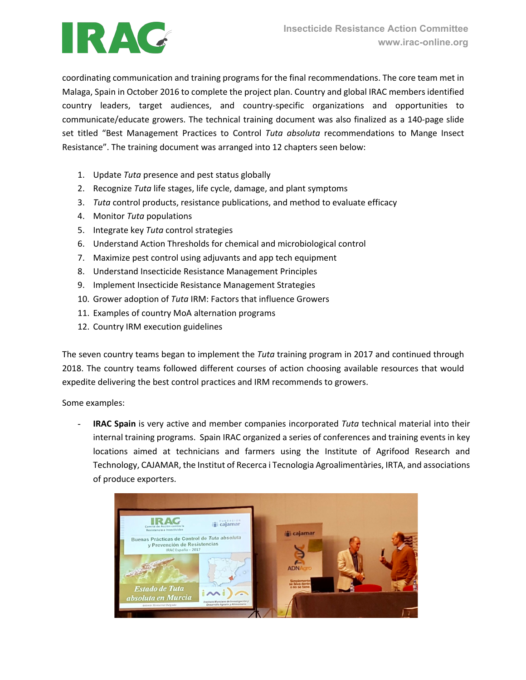

coordinating communication and training programs for the final recommendations. The core team met in Malaga, Spain in October 2016 to complete the project plan. Country and global IRAC members identified country leaders, target audiences, and country-specific organizations and opportunities to communicate/educate growers. The technical training document was also finalized as a 140-page slide set titled "Best Management Practices to Control *Tuta absoluta* recommendations to Mange Insect Resistance". The training document was arranged into 12 chapters seen below:

- 1. Update *Tuta* presence and pest status globally
- 2. Recognize *Tuta* life stages, life cycle, damage, and plant symptoms
- 3. *Tuta* control products, resistance publications, and method to evaluate efficacy
- 4. Monitor *Tuta* populations
- 5. Integrate key *Tuta* control strategies
- 6. Understand Action Thresholds for chemical and microbiological control
- 7. Maximize pest control using adjuvants and app tech equipment
- 8. Understand Insecticide Resistance Management Principles
- 9. Implement Insecticide Resistance Management Strategies
- 10. Grower adoption of *Tuta* IRM: Factors that influence Growers
- 11. Examples of country MoA alternation programs
- 12. Country IRM execution guidelines

The seven country teams began to implement the *Tuta* training program in 2017 and continued through 2018. The country teams followed different courses of action choosing available resources that would expedite delivering the best control practices and IRM recommends to growers.

Some examples:

**IRAC Spain** is very active and member companies incorporated *Tuta* technical material into their internal training programs. Spain IRAC organized a series of conferences and training events in key locations aimed at technicians and farmers using the Institute of Agrifood Research and Technology, CAJAMAR, the Institut of Recerca i Tecnologia Agroalimentàries, IRTA, and associations of produce exporters.